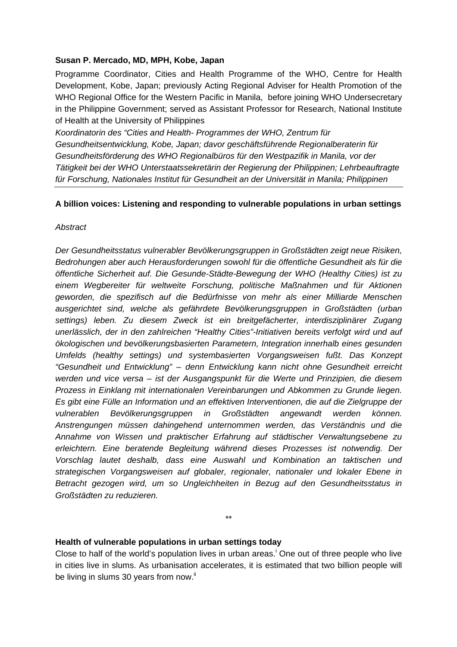#### **Susan P. Mercado, MD, MPH, Kobe, Japan**

Programme Coordinator, Cities and Health Programme of the WHO, Centre for Health Development, Kobe, Japan; previously Acting Regional Adviser for Health Promotion of the WHO Regional Office for the Western Pacific in Manila, before joining WHO Undersecretary in the Philippine Government; served as Assistant Professor for Research, National Institute of Health at the University of Philippines

*Koordinatorin des "Cities and Health- Programmes der WHO, Zentrum für Gesundheitsentwicklung, Kobe, Japan; davor geschäftsführende Regionalberaterin für Gesundheitsförderung des WHO Regionalbüros für den Westpazifik in Manila, vor der Tätigkeit bei der WHO Unterstaatssekretärin der Regierung der Philippinen; Lehrbeauftragte für Forschung, Nationales Institut für Gesundheit an der Universität in Manila; Philippinen* 

### **A billion voices: Listening and responding to vulnerable populations in urban settings**

#### *Abstract*

*Der Gesundheitsstatus vulnerabler Bevölkerungsgruppen in Großstädten zeigt neue Risiken, Bedrohungen aber auch Herausforderungen sowohl für die öffentliche Gesundheit als für die öffentliche Sicherheit auf. Die Gesunde-Städte-Bewegung der WHO (Healthy Cities) ist zu einem Wegbereiter für weltweite Forschung, politische Maßnahmen und für Aktionen geworden, die spezifisch auf die Bedürfnisse von mehr als einer Milliarde Menschen ausgerichtet sind, welche als gefährdete Bevölkerungsgruppen in Großstädten (urban settings) leben. Zu diesem Zweck ist ein breitgefächerter, interdisziplinärer Zugang unerlässlich, der in den zahlreichen "Healthy Cities"-Initiativen bereits verfolgt wird und auf ökologischen und bevölkerungsbasierten Parametern, Integration innerhalb eines gesunden Umfelds (healthy settings) und systembasierten Vorgangsweisen fußt. Das Konzept "Gesundheit und Entwicklung" – denn Entwicklung kann nicht ohne Gesundheit erreicht werden und vice versa – ist der Ausgangspunkt für die Werte und Prinzipien, die diesem Prozess in Einklang mit internationalen Vereinbarungen und Abkommen zu Grunde liegen. Es gibt eine Fülle an Information und an effektiven Interventionen, die auf die Zielgruppe der vulnerablen Bevölkerungsgruppen in Großstädten angewandt werden können. Anstrengungen müssen dahingehend unternommen werden, das Verständnis und die Annahme von Wissen und praktischer Erfahrung auf städtischer Verwaltungsebene zu erleichtern. Eine beratende Begleitung während dieses Prozesses ist notwendig. Der Vorschlag lautet deshalb, dass eine Auswahl und Kombination an taktischen und strategischen Vorgangsweisen auf globaler, regionaler, nationaler und lokaler Ebene in Betracht gezogen wird, um so Ungleichheiten in Bezug auf den Gesundheitsstatus in Großstädten zu reduzieren.* 

### **Health of vulnerable populations in urban settings today**

Close to half of the world's population lives in urban areas.<sup>i</sup> One out of three people who live in cities live in slums. As urbanisation accelerates, it is estimated that two billion people will be living in slums 30 years from now. $ii$ 

\*\*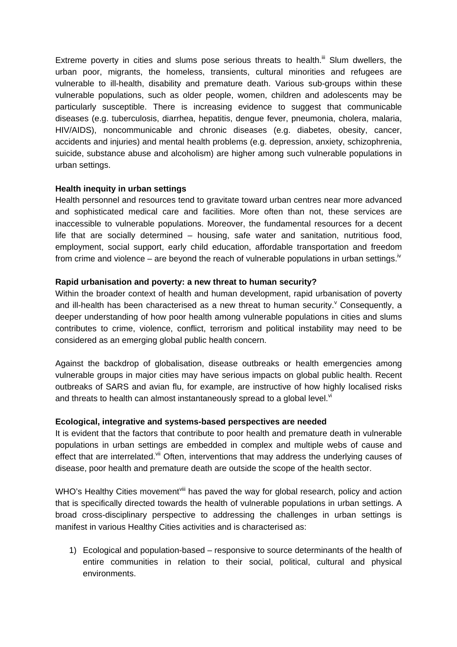Extreme poverty in cities and slums pose serious threats to health. $\ddot{m}$  Slum dwellers, the urban poor, migrants, the homeless, transients, cultural minorities and refugees are vulnerable to ill-health, disability and premature death. Various sub-groups within these vulnerable populations, such as older people, women, children and adolescents may be particularly susceptible. There is increasing evidence to suggest that communicable diseases (e.g. tuberculosis, diarrhea, hepatitis, dengue fever, pneumonia, cholera, malaria, HIV/AIDS), noncommunicable and chronic diseases (e.g. diabetes, obesity, cancer, accidents and injuries) and mental health problems (e.g. depression, anxiety, schizophrenia, suicide, substance abuse and alcoholism) are higher among such vulnerable populations in urban settings.

### **Health inequity in urban settings**

Health personnel and resources tend to gravitate toward urban centres near more advanced and sophisticated medical care and facilities. More often than not, these services are inaccessible to vulnerable populations. Moreover, the fundamental resources for a decent life that are socially determined – housing, safe water and sanitation, nutritious food, employment, social support, early child education, affordable transportation and freedom from crime and violence – are beyond the reach of vulnerable populations in urban settings.<sup>iv</sup>

## **Rapid urbanisation and poverty: a new threat to human security?**

Within the broader context of health and human development, rapid urbanisation of poverty and ill-health has been characterised as a new threat to human security. $^{\vee}$  Consequently, a deeper understanding of how poor health among vulnerable populations in cities and slums contributes to crime, violence, conflict, terrorism and political instability may need to be considered as an emerging global public health concern.

Against the backdrop of globalisation, disease outbreaks or health emergencies among vulnerable groups in major cities may have serious impacts on global public health. Recent outbreaks of SARS and avian flu, for example, are instructive of how highly localised risks and threats to health can almost instantaneously spread to a global level. $W$ 

### **Ecological, integrative and systems-based perspectives are needed**

It is evident that the factors that contribute to poor health and premature death in vulnerable populations in urban settings are embedded in complex and multiple webs of cause and effect that are interrelated.<sup>vii</sup> Often, interventions that may address the underlying causes of disease, poor health and premature death are outside the scope of the health sector.

WHO's Healthy Cities movement<sup>viii</sup> has paved the way for global research, policy and action that is specifically directed towards the health of vulnerable populations in urban settings. A broad cross-disciplinary perspective to addressing the challenges in urban settings is manifest in various Healthy Cities activities and is characterised as:

1) Ecological and population-based – responsive to source determinants of the health of entire communities in relation to their social, political, cultural and physical environments.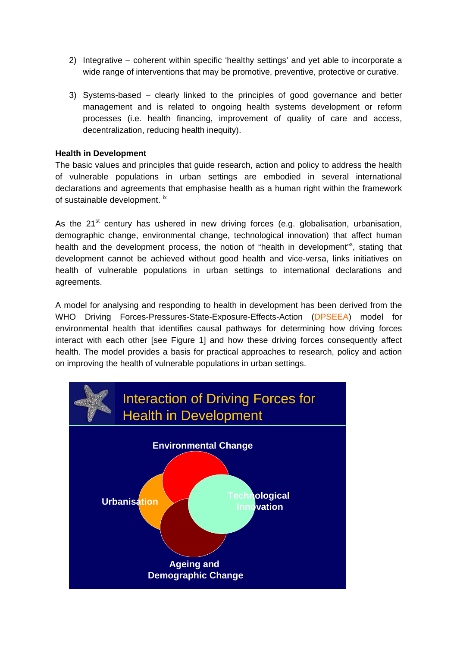- 2) Integrative coherent within specific 'healthy settings' and yet able to incorporate a wide range of interventions that may be promotive, preventive, protective or curative.
- 3) Systems-based clearly linked to the principles of good governance and better management and is related to ongoing health systems development or reform processes (i.e. health financing, improvement of quality of care and access, decentralization, reducing health inequity).

## **Health in Development**

The basic values and principles that guide research, action and policy to address the health of vulnerable populations in urban settings are embodied in several international declarations and agreements that emphasise health as a human right within the framework of sustainable development. ix

As the  $21^{st}$  century has ushered in new driving forces (e.g. globalisation, urbanisation, demographic change, environmental change, technological innovation) that affect human health and the development process, the notion of "health in development"<sup>x</sup>, stating that development cannot be achieved without good health and vice-versa, links initiatives on health of vulnerable populations in urban settings to international declarations and agreements.

A model for analysing and responding to health in development has been derived from the WHO Driving Forces-Pressures-State-Exposure-Effects-Action (DPSEEA) model for environmental health that identifies causal pathways for determining how driving forces interact with each other [see Figure 1] and how these driving forces consequently affect health. The model provides a basis for practical approaches to research, policy and action on improving the health of vulnerable populations in urban settings.

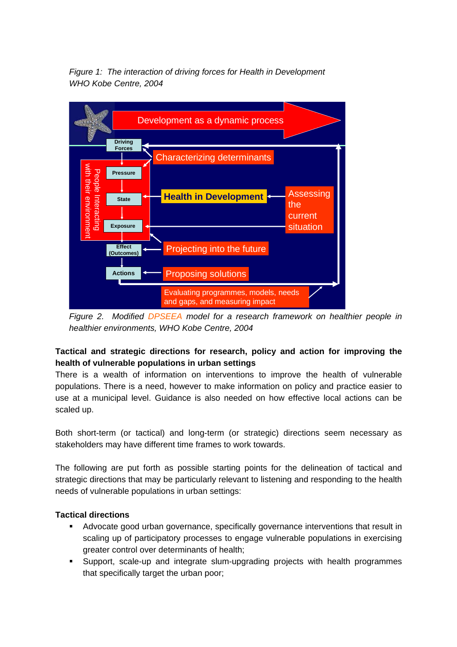*Figure 1: The interaction of driving forces for Health in Development WHO Kobe Centre, 2004* 



*Figure 2. Modified DPSEEA model for a research framework on healthier people in healthier environments, WHO Kobe Centre, 2004*

# **Tactical and strategic directions for research, policy and action for improving the health of vulnerable populations in urban settings**

There is a wealth of information on interventions to improve the health of vulnerable populations. There is a need, however to make information on policy and practice easier to use at a municipal level. Guidance is also needed on how effective local actions can be scaled up.

Both short-term (or tactical) and long-term (or strategic) directions seem necessary as stakeholders may have different time frames to work towards.

The following are put forth as possible starting points for the delineation of tactical and strategic directions that may be particularly relevant to listening and responding to the health needs of vulnerable populations in urban settings:

### **Tactical directions**

- Advocate good urban governance, specifically governance interventions that result in scaling up of participatory processes to engage vulnerable populations in exercising greater control over determinants of health;
- Support, scale-up and integrate slum-upgrading projects with health programmes that specifically target the urban poor;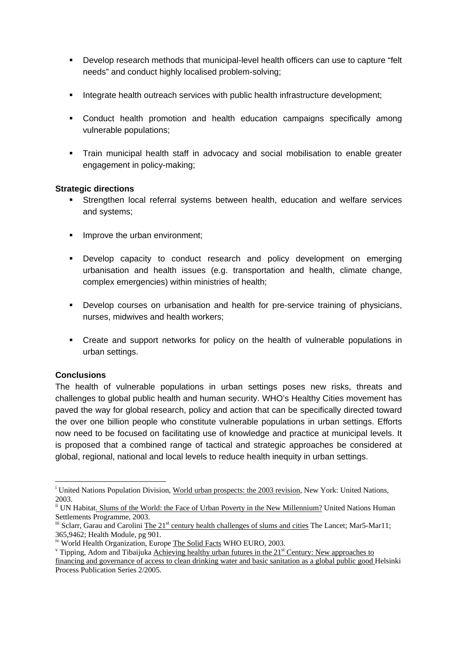- Develop research methods that municipal-level health officers can use to capture "felt needs" and conduct highly localised problem-solving;
- Integrate health outreach services with public health infrastructure development;
- Conduct health promotion and health education campaigns specifically among vulnerable populations;
- Train municipal health staff in advocacy and social mobilisation to enable greater engagement in policy-making;

## **Strategic directions**

- Strengthen local referral systems between health, education and welfare services and systems;
- Improve the urban environment:
- Develop capacity to conduct research and policy development on emerging urbanisation and health issues (e.g. transportation and health, climate change, complex emergencies) within ministries of health;
- Develop courses on urbanisation and health for pre-service training of physicians, nurses, midwives and health workers;
- Create and support networks for policy on the health of vulnerable populations in urban settings.

# **Conclusions**

 $\overline{a}$ 

The health of vulnerable populations in urban settings poses new risks, threats and challenges to global public health and human security. WHO's Healthy Cities movement has paved the way for global research, policy and action that can be specifically directed toward the over one billion people who constitute vulnerable populations in urban settings. Efforts now need to be focused on facilitating use of knowledge and practice at municipal levels. It is proposed that a combined range of tactical and strategic approaches be considered at global, regional, national and local levels to reduce health inequity in urban settings.

<sup>&</sup>lt;sup>i</sup> United Nations Population Division, World urban prospects: the 2003 revision, New York: United Nations, 2003.

<sup>&</sup>lt;sup>ii</sup> UN Habitat. Slums of the World: the Face of Urban Poverty in the New Millennium? United Nations Human Settlements Programme, 2003.

iii Sclarr, Garau and Carolini The 21<sup>st</sup> century health challenges of slums and cities The Lancet; Mar5-Mar11; 365,9462; Health Module, pg 901.

iv World Health Organization, Europe The Solid Facts WHO EURO, 2003.

 $v$  Tipping, Adom and Tibaijuka Achieving healthy urban futures in the 21<sup>st</sup> Century: New approaches to

financing and governance of access to clean drinking water and basic sanitation as a global public good Helsinki Process Publication Series 2/2005.